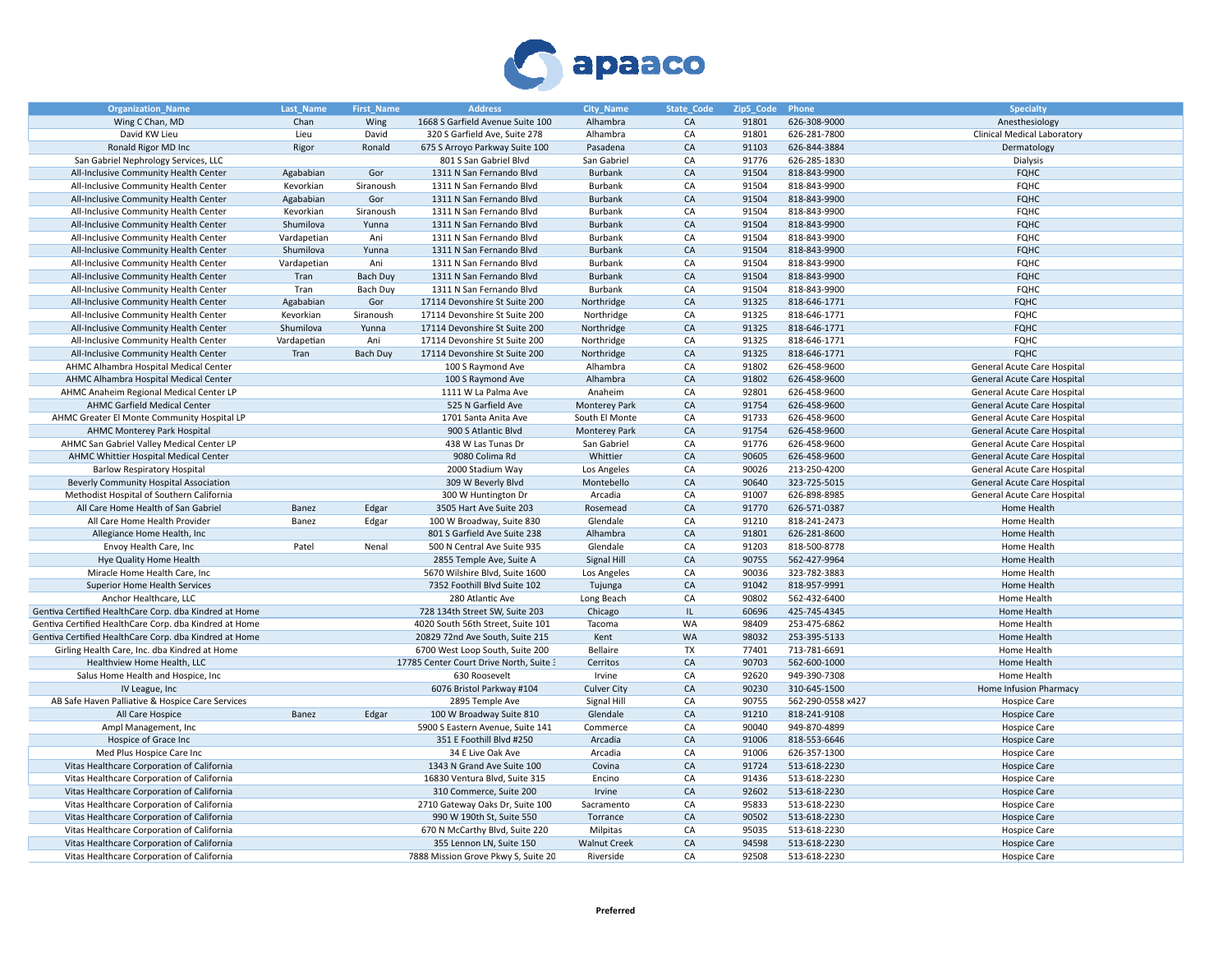

| <b>Organization_Name</b>                               | Last_Name   | First_Name      | <b>Address</b>                          | <b>City_Name</b>     | State_Code | Zip5_Code | Phone             | <b>Specialty</b>            |
|--------------------------------------------------------|-------------|-----------------|-----------------------------------------|----------------------|------------|-----------|-------------------|-----------------------------|
| Wing C Chan, MD                                        | Chan        | Wing            | 1668 S Garfield Avenue Suite 100        | Alhambra             | CA         | 91801     | 626-308-9000      | Anesthesiology              |
| David KW Lieu                                          | Lieu        | David           | 320 S Garfield Ave, Suite 278           | Alhambra             | CA         | 91801     | 626-281-7800      | Clinical Medical Laboratory |
| Ronald Rigor MD Inc                                    | Rigor       | Ronald          | 675 S Arroyo Parkway Suite 100          | Pasadena             | CA         | 91103     | 626-844-3884      | Dermatology                 |
| San Gabriel Nephrology Services, LLC                   |             |                 | 801 S San Gabriel Blvd                  | San Gabriel          | CA         | 91776     | 626-285-1830      | Dialysis                    |
| All-Inclusive Community Health Center                  | Agababian   | Gor             | 1311 N San Fernando Blvd                | Burbank              | CA         | 91504     | 818-843-9900      | <b>FQHC</b>                 |
| All-Inclusive Community Health Center                  | Kevorkian   | Siranoush       | 1311 N San Fernando Blvd                | Burbank              | CA         | 91504     | 818-843-9900      | <b>FQHC</b>                 |
| All-Inclusive Community Health Center                  | Agababian   | Gor             | 1311 N San Fernando Blvd                | Burbank              | CA         | 91504     | 818-843-9900      | <b>FQHC</b>                 |
| All-Inclusive Community Health Center                  | Kevorkian   | Siranoush       | 1311 N San Fernando Blvd                | Burbank              | CA         | 91504     | 818-843-9900      | <b>FQHC</b>                 |
| All-Inclusive Community Health Center                  | Shumilova   | Yunna           | 1311 N San Fernando Blvd                | Burbank              | CA         | 91504     | 818-843-9900      | <b>FQHC</b>                 |
| All-Inclusive Community Health Center                  | Vardapetian | Ani             | 1311 N San Fernando Blvd                | Burbank              | CA         | 91504     | 818-843-9900      | <b>FQHC</b>                 |
| All-Inclusive Community Health Center                  | Shumilova   | Yunna           | 1311 N San Fernando Blvd                | Burbank              | CA         | 91504     | 818-843-9900      | <b>FQHC</b>                 |
| All-Inclusive Community Health Center                  | Vardapetian | Ani             | 1311 N San Fernando Blvd                | Burbank              | CA         | 91504     | 818-843-9900      | <b>FQHC</b>                 |
| All-Inclusive Community Health Center                  | Tran        | Bach Duy        | 1311 N San Fernando Blvd                | Burbank              | CA         | 91504     | 818-843-9900      | <b>FQHC</b>                 |
| All-Inclusive Community Health Center                  | Tran        | Bach Duy        | 1311 N San Fernando Blvd                | Burbank              | CA         | 91504     | 818-843-9900      | <b>FQHC</b>                 |
| All-Inclusive Community Health Center                  | Agababian   | Gor             | 17114 Devonshire St Suite 200           | Northridge           | CA         | 91325     | 818-646-1771      | <b>FQHC</b>                 |
| All-Inclusive Community Health Center                  | Kevorkian   | Siranoush       | 17114 Devonshire St Suite 200           | Northridge           | CA         | 91325     | 818-646-1771      | <b>FQHC</b>                 |
| All-Inclusive Community Health Center                  | Shumilova   | Yunna           | 17114 Devonshire St Suite 200           | Northridge           | CA         | 91325     | 818-646-1771      | <b>FQHC</b>                 |
| All-Inclusive Community Health Center                  | Vardapetian | Ani             | 17114 Devonshire St Suite 200           | Northridge           | CA         | 91325     | 818-646-1771      | <b>FQHC</b>                 |
| All-Inclusive Community Health Center                  | Tran        | <b>Bach Duy</b> | 17114 Devonshire St Suite 200           | Northridge           | CA         | 91325     | 818-646-1771      | <b>FQHC</b>                 |
| AHMC Alhambra Hospital Medical Center                  |             |                 | 100 S Raymond Ave                       | Alhambra             | CA         | 91802     | 626-458-9600      | General Acute Care Hospital |
| AHMC Alhambra Hospital Medical Center                  |             |                 | 100 S Raymond Ave                       | Alhambra             | CA         | 91802     | 626-458-9600      | General Acute Care Hospital |
| AHMC Anaheim Regional Medical Center LP                |             |                 | 1111 W La Palma Ave                     | Anaheim              | CA         | 92801     | 626-458-9600      | General Acute Care Hospital |
| <b>AHMC Garfield Medical Center</b>                    |             |                 | 525 N Garfield Ave                      | <b>Monterey Park</b> | CA         | 91754     | 626-458-9600      | General Acute Care Hospital |
| AHMC Greater El Monte Community Hospital LP            |             |                 | 1701 Santa Anita Ave                    | South El Monte       | CA         | 91733     | 626-458-9600      | General Acute Care Hospital |
| <b>AHMC Monterey Park Hospital</b>                     |             |                 | 900 S Atlantic Blvd                     | <b>Monterey Park</b> | CA         | 91754     | 626-458-9600      | General Acute Care Hospital |
| AHMC San Gabriel Valley Medical Center LP              |             |                 | 438 W Las Tunas Dr                      | San Gabriel          | CA         | 91776     | 626-458-9600      | General Acute Care Hospital |
| AHMC Whittier Hospital Medical Center                  |             |                 | 9080 Colima Rd                          | Whittier             | CA         | 90605     | 626-458-9600      | General Acute Care Hospital |
| <b>Barlow Respiratory Hospital</b>                     |             |                 | 2000 Stadium Way                        | Los Angeles          | CA         | 90026     | 213-250-4200      | General Acute Care Hospital |
| <b>Beverly Community Hospital Association</b>          |             |                 | 309 W Beverly Blvd                      | Montebello           | ${\sf CA}$ | 90640     | 323-725-5015      | General Acute Care Hospital |
| Methodist Hospital of Southern California              |             |                 | 300 W Huntington Dr                     | Arcadia              | CA         | 91007     | 626-898-8985      | General Acute Care Hospital |
| All Care Home Health of San Gabriel                    | Banez       | Edgar           | 3505 Hart Ave Suite 203                 | Rosemead             | ${\sf CA}$ | 91770     | 626-571-0387      | Home Health                 |
| All Care Home Health Provider                          | Banez       | Edgar           | 100 W Broadway, Suite 830               | Glendale             | CA         | 91210     | 818-241-2473      | Home Health                 |
| Allegiance Home Health, Inc                            |             |                 | 801 S Garfield Ave Suite 238            | Alhambra             | CA         | 91801     | 626-281-8600      | Home Health                 |
| Envoy Health Care, Inc                                 | Patel       | Nenal           | 500 N Central Ave Suite 935             | Glendale             | CA         | 91203     | 818-500-8778      | Home Health                 |
| Hye Quality Home Health                                |             |                 | 2855 Temple Ave, Suite A                | Signal Hill          | CA         | 90755     | 562-427-9964      | Home Health                 |
| Miracle Home Health Care, Inc                          |             |                 | 5670 Wilshire Blvd, Suite 1600          | Los Angeles          | CA         | 90036     | 323-782-3883      | Home Health                 |
| Superior Home Health Services                          |             |                 | 7352 Foothill Blvd Suite 102            | Tujunga              | CA         | 91042     | 818-957-9991      | Home Health                 |
| Anchor Healthcare, LLC                                 |             |                 | 280 Atlantic Ave                        | Long Beach           | CA         | 90802     | 562-432-6400      | Home Health                 |
| Gentiva Certified HealthCare Corp. dba Kindred at Home |             |                 | 728 134th Street SW, Suite 203          | Chicago              | IL.        | 60696     | 425-745-4345      | Home Health                 |
| Gentiva Certified HealthCare Corp. dba Kindred at Home |             |                 | 4020 South 56th Street, Suite 101       | Tacoma               | WA         | 98409     | 253-475-6862      | Home Health                 |
| Gentiva Certified HealthCare Corp. dba Kindred at Home |             |                 | 20829 72nd Ave South, Suite 215         | Kent                 | WA         | 98032     | 253-395-5133      | Home Health                 |
| Girling Health Care, Inc. dba Kindred at Home          |             |                 | 6700 West Loop South, Suite 200         | Bellaire             | <b>TX</b>  | 77401     | 713-781-6691      | Home Health                 |
| Healthview Home Health, LLC                            |             |                 | 17785 Center Court Drive North, Suite 3 | Cerritos             | CA         | 90703     | 562-600-1000      | Home Health                 |
| Salus Home Health and Hospice, Inc.                    |             |                 | 630 Roosevelt                           | Irvine               | CA         | 92620     | 949-390-7308      | Home Health                 |
| IV League, Inc.                                        |             |                 | 6076 Bristol Parkway #104               | <b>Culver City</b>   | CA         | 90230     | 310-645-1500      | Home Infusion Pharmacy      |
| AB Safe Haven Palliative & Hospice Care Services       |             |                 | 2895 Temple Ave                         | Signal Hill          | CA         | 90755     | 562-290-0558 x427 | Hospice Care                |
| All Care Hospice                                       | Banez       | Edgar           | 100 W Broadway Suite 810                | Glendale             | CA         | 91210     | 818-241-9108      | <b>Hospice Care</b>         |
| Ampl Management, Inc.                                  |             |                 | 5900 S Eastern Avenue, Suite 141        | Commerce             | CA         | 90040     | 949-870-4899      | <b>Hospice Care</b>         |
| Hospice of Grace Inc                                   |             |                 | 351 E Foothill Blvd #250                | Arcadia              | CA         | 91006     | 818-553-6646      | <b>Hospice Care</b>         |
| Med Plus Hospice Care Inc                              |             |                 | 34 E Live Oak Ave                       | Arcadia              | CA         | 91006     | 626-357-1300      | <b>Hospice Care</b>         |
| Vitas Healthcare Corporation of California             |             |                 | 1343 N Grand Ave Suite 100              | Covina               | CA         | 91724     | 513-618-2230      | <b>Hospice Care</b>         |
| Vitas Healthcare Corporation of California             |             |                 | 16830 Ventura Blvd, Suite 315           | Encino               | CA         | 91436     | 513-618-2230      | <b>Hospice Care</b>         |
| Vitas Healthcare Corporation of California             |             |                 | 310 Commerce, Suite 200                 | Irvine               | CA         | 92602     | 513-618-2230      | <b>Hospice Care</b>         |
| Vitas Healthcare Corporation of California             |             |                 | 2710 Gateway Oaks Dr, Suite 100         | Sacramento           | CA         | 95833     | 513-618-2230      | <b>Hospice Care</b>         |
| Vitas Healthcare Corporation of California             |             |                 | 990 W 190th St, Suite 550               | Torrance             | CA         | 90502     | 513-618-2230      | <b>Hospice Care</b>         |
| Vitas Healthcare Corporation of California             |             |                 | 670 N McCarthy Blvd, Suite 220          | Milpitas             | CA         | 95035     | 513-618-2230      | <b>Hospice Care</b>         |
| Vitas Healthcare Corporation of California             |             |                 | 355 Lennon LN, Suite 150                | <b>Walnut Creek</b>  | CA         | 94598     | 513-618-2230      | <b>Hospice Care</b>         |
| Vitas Healthcare Corporation of California             |             |                 | 7888 Mission Grove Pkwy S, Suite 20     | Riverside            | CA         | 92508     | 513-618-2230      | <b>Hospice Care</b>         |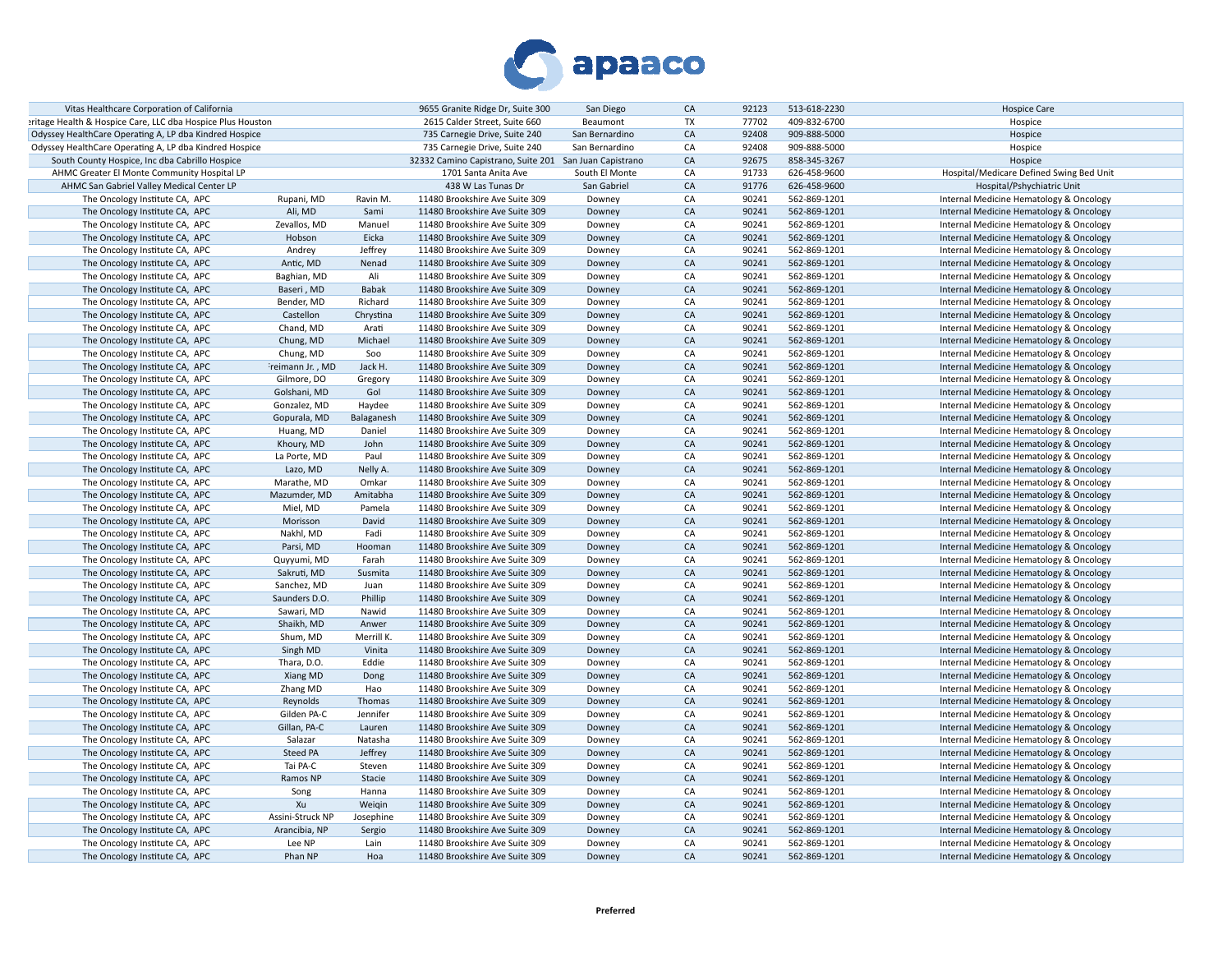

| Vitas Healthcare Corporation of California                  |                  |                     | 9655 Granite Ridge Dr, Suite 300                       | San Diego      | CA        | 92123 | 513-618-2230 | <b>Hospice Care</b>                      |
|-------------------------------------------------------------|------------------|---------------------|--------------------------------------------------------|----------------|-----------|-------|--------------|------------------------------------------|
| eritage Health & Hospice Care, LLC dba Hospice Plus Houston |                  |                     | 2615 Calder Street, Suite 660                          | Beaumont       | <b>TX</b> | 77702 | 409-832-6700 | Hospice                                  |
| Odyssey HealthCare Operating A, LP dba Kindred Hospice      |                  |                     | 735 Carnegie Drive, Suite 240                          | San Bernardino | CA        | 92408 | 909-888-5000 | Hospice                                  |
| Odyssey HealthCare Operating A, LP dba Kindred Hospice      |                  |                     | 735 Carnegie Drive, Suite 240                          | San Bernardino | CA        | 92408 | 909-888-5000 | Hospice                                  |
| South County Hospice, Inc dba Cabrillo Hospice              |                  |                     | 32332 Camino Capistrano, Suite 201 San Juan Capistrano |                | CA        | 92675 | 858-345-3267 | Hospice                                  |
| AHMC Greater El Monte Community Hospital LP                 |                  |                     | 1701 Santa Anita Ave                                   | South El Monte | CA        | 91733 | 626-458-9600 | Hospital/Medicare Defined Swing Bed Unit |
| AHMC San Gabriel Valley Medical Center LP                   |                  |                     | 438 W Las Tunas Dr                                     | San Gabriel    | CA        | 91776 | 626-458-9600 | Hospital/Pshychiatric Unit               |
| The Oncology Institute CA, APC                              | Rupani, MD       | Ravin M.            | 11480 Brookshire Ave Suite 309                         | Downey         | CA        | 90241 | 562-869-1201 | Internal Medicine Hematology & Oncology  |
| The Oncology Institute CA, APC                              | Ali, MD          | Sami                | 11480 Brookshire Ave Suite 309                         | Downey         | CA        | 90241 | 562-869-1201 | Internal Medicine Hematology & Oncology  |
| The Oncology Institute CA, APC                              | Zevallos, MD     | Manuel              | 11480 Brookshire Ave Suite 309                         | Downey         | CA        | 90241 | 562-869-1201 | Internal Medicine Hematology & Oncology  |
| The Oncology Institute CA, APC                              | Hobson           | Eicka               | 11480 Brookshire Ave Suite 309                         | Downey         | CA        | 90241 | 562-869-1201 | Internal Medicine Hematology & Oncology  |
| The Oncology Institute CA, APC                              | Andrey           | Jeffrey             | 11480 Brookshire Ave Suite 309                         | Downey         | CA        | 90241 | 562-869-1201 | Internal Medicine Hematology & Oncology  |
| The Oncology Institute CA, APC                              | Antic, MD        | Nenad               | 11480 Brookshire Ave Suite 309                         | Downey         | CA        | 90241 | 562-869-1201 | Internal Medicine Hematology & Oncology  |
| The Oncology Institute CA, APC                              | Baghian, MD      | Ali                 | 11480 Brookshire Ave Suite 309                         | Downey         | CA        | 90241 | 562-869-1201 | Internal Medicine Hematology & Oncology  |
| The Oncology Institute CA, APC                              | Baseri, MD       | Babak               | 11480 Brookshire Ave Suite 309                         | Downey         | CA        | 90241 | 562-869-1201 | Internal Medicine Hematology & Oncology  |
| The Oncology Institute CA, APC                              | Bender, MD       | Richard             | 11480 Brookshire Ave Suite 309                         | Downey         | CA        | 90241 | 562-869-1201 | Internal Medicine Hematology & Oncology  |
| The Oncology Institute CA, APC                              | Castellon        | Chrystina           | 11480 Brookshire Ave Suite 309                         | Downey         | CA        | 90241 | 562-869-1201 | Internal Medicine Hematology & Oncology  |
|                                                             | Chand, MD        | Arati               | 11480 Brookshire Ave Suite 309                         | Downey         | CA        | 90241 | 562-869-1201 |                                          |
| The Oncology Institute CA, APC                              |                  |                     |                                                        |                |           |       |              | Internal Medicine Hematology & Oncology  |
| The Oncology Institute CA, APC                              | Chung, MD        | Michael             | 11480 Brookshire Ave Suite 309                         | Downey         | CA        | 90241 | 562-869-1201 | Internal Medicine Hematology & Oncology  |
| The Oncology Institute CA, APC                              | Chung, MD        | Soo                 | 11480 Brookshire Ave Suite 309                         | Downey         | CA        | 90241 | 562-869-1201 | Internal Medicine Hematology & Oncology  |
| The Oncology Institute CA, APC                              | reimann Jr., MD  | Jack H.             | 11480 Brookshire Ave Suite 309                         | Downey         | CA        | 90241 | 562-869-1201 | Internal Medicine Hematology & Oncology  |
| The Oncology Institute CA, APC                              | Gilmore, DO      | Gregory             | 11480 Brookshire Ave Suite 309                         | Downey         | CA        | 90241 | 562-869-1201 | Internal Medicine Hematology & Oncology  |
| The Oncology Institute CA, APC                              | Golshani, MD     | Gol                 | 11480 Brookshire Ave Suite 309                         | Downey         | CA        | 90241 | 562-869-1201 | Internal Medicine Hematology & Oncology  |
| The Oncology Institute CA, APC                              | Gonzalez, MD     | Haydee              | 11480 Brookshire Ave Suite 309                         | Downey         | CA        | 90241 | 562-869-1201 | Internal Medicine Hematology & Oncology  |
| The Oncology Institute CA, APC                              | Gopurala, MD     | Balaganesh          | 11480 Brookshire Ave Suite 309                         | Downey         | CA        | 90241 | 562-869-1201 | Internal Medicine Hematology & Oncology  |
| The Oncology Institute CA, APC                              | Huang, MD        | Daniel              | 11480 Brookshire Ave Suite 309                         | Downey         | CA        | 90241 | 562-869-1201 | Internal Medicine Hematology & Oncology  |
| The Oncology Institute CA, APC                              | Khoury, MD       | John                | 11480 Brookshire Ave Suite 309                         | Downey         | CA        | 90241 | 562-869-1201 | Internal Medicine Hematology & Oncology  |
| The Oncology Institute CA, APC                              | La Porte, MD     | Paul                | 11480 Brookshire Ave Suite 309                         | Downey         | CA        | 90241 | 562-869-1201 | Internal Medicine Hematology & Oncology  |
| The Oncology Institute CA, APC                              | Lazo, MD         | Nelly A.            | 11480 Brookshire Ave Suite 309                         | Downey         | CA        | 90241 | 562-869-1201 | Internal Medicine Hematology & Oncology  |
| The Oncology Institute CA, APC                              | Marathe, MD      | Omkar               | 11480 Brookshire Ave Suite 309                         | Downey         | CA        | 90241 | 562-869-1201 | Internal Medicine Hematology & Oncology  |
| The Oncology Institute CA, APC                              | Mazumder, MD     | Amitabha            | 11480 Brookshire Ave Suite 309                         | Downey         | CA        | 90241 | 562-869-1201 | Internal Medicine Hematology & Oncology  |
| The Oncology Institute CA, APC                              | Miel, MD         | Pamela              | 11480 Brookshire Ave Suite 309                         | Downey         | CA        | 90241 | 562-869-1201 | Internal Medicine Hematology & Oncology  |
| The Oncology Institute CA, APC                              | Morisson         | David               | 11480 Brookshire Ave Suite 309                         | Downey         | CA        | 90241 | 562-869-1201 | Internal Medicine Hematology & Oncology  |
| The Oncology Institute CA, APC                              | Nakhl, MD        | Fadi                | 11480 Brookshire Ave Suite 309                         | Downey         | CA        | 90241 | 562-869-1201 | Internal Medicine Hematology & Oncology  |
| The Oncology Institute CA, APC                              | Parsi, MD        | Hooman              | 11480 Brookshire Ave Suite 309                         | Downey         | CA        | 90241 | 562-869-1201 | Internal Medicine Hematology & Oncology  |
| The Oncology Institute CA, APC                              | Quyyumi, MD      | Farah               | 11480 Brookshire Ave Suite 309                         | Downey         | CA        | 90241 | 562-869-1201 | Internal Medicine Hematology & Oncology  |
| The Oncology Institute CA, APC                              | Sakruti, MD      | Susmita             | 11480 Brookshire Ave Suite 309                         | Downey         | CA        | 90241 | 562-869-1201 | Internal Medicine Hematology & Oncology  |
| The Oncology Institute CA, APC                              | Sanchez, MD      | Juan                | 11480 Brookshire Ave Suite 309                         | Downey         | CA        | 90241 | 562-869-1201 | Internal Medicine Hematology & Oncology  |
| The Oncology Institute CA, APC                              | Saunders D.O.    | Phillip             | 11480 Brookshire Ave Suite 309                         | Downey         | CA        | 90241 | 562-869-1201 | Internal Medicine Hematology & Oncology  |
| The Oncology Institute CA, APC                              | Sawari, MD       | Nawid               | 11480 Brookshire Ave Suite 309                         | Downey         | CA        | 90241 | 562-869-1201 | Internal Medicine Hematology & Oncology  |
|                                                             | Shaikh, MD       |                     |                                                        |                | CA        | 90241 |              |                                          |
| The Oncology Institute CA, APC                              |                  | Anwer<br>Merrill K. | 11480 Brookshire Ave Suite 309                         | Downey         |           |       | 562-869-1201 | Internal Medicine Hematology & Oncology  |
| The Oncology Institute CA, APC                              | Shum, MD         |                     | 11480 Brookshire Ave Suite 309                         | Downey         | CA        | 90241 | 562-869-1201 | Internal Medicine Hematology & Oncology  |
| The Oncology Institute CA, APC                              | Singh MD         | Vinita              | 11480 Brookshire Ave Suite 309                         | Downey         | CA        | 90241 | 562-869-1201 | Internal Medicine Hematology & Oncology  |
| The Oncology Institute CA, APC                              | Thara, D.O.      | Eddie               | 11480 Brookshire Ave Suite 309                         | Downey         | CA        | 90241 | 562-869-1201 | Internal Medicine Hematology & Oncology  |
| The Oncology Institute CA, APC                              | Xiang MD         | Dong                | 11480 Brookshire Ave Suite 309                         | Downey         | CA        | 90241 | 562-869-1201 | Internal Medicine Hematology & Oncology  |
| The Oncology Institute CA, APC                              | Zhang MD         | Hao                 | 11480 Brookshire Ave Suite 309                         | Downey         | CA        | 90241 | 562-869-1201 | Internal Medicine Hematology & Oncology  |
| The Oncology Institute CA, APC                              | Reynolds         | Thomas              | 11480 Brookshire Ave Suite 309                         | Downey         | CA        | 90241 | 562-869-1201 | Internal Medicine Hematology & Oncology  |
| The Oncology Institute CA, APC                              | Gilden PA-C      | Jennifer            | 11480 Brookshire Ave Suite 309                         | Downey         | CA        | 90241 | 562-869-1201 | Internal Medicine Hematology & Oncology  |
| The Oncology Institute CA, APC                              | Gillan, PA-C     | Lauren              | 11480 Brookshire Ave Suite 309                         | Downey         | CA        | 90241 | 562-869-1201 | Internal Medicine Hematology & Oncology  |
| The Oncology Institute CA, APC                              | Salazar          | Natasha             | 11480 Brookshire Ave Suite 309                         | Downey         | CA        | 90241 | 562-869-1201 | Internal Medicine Hematology & Oncology  |
| The Oncology Institute CA, APC                              | Steed PA         | Jeffrey             | 11480 Brookshire Ave Suite 309                         | Downey         | CA        | 90241 | 562-869-1201 | Internal Medicine Hematology & Oncology  |
| The Oncology Institute CA, APC                              | Tai PA-C         | Steven              | 11480 Brookshire Ave Suite 309                         | Downey         | CA        | 90241 | 562-869-1201 | Internal Medicine Hematology & Oncology  |
| The Oncology Institute CA, APC                              | Ramos NP         | Stacie              | 11480 Brookshire Ave Suite 309                         | Downey         | CA        | 90241 | 562-869-1201 | Internal Medicine Hematology & Oncology  |
| The Oncology Institute CA, APC                              | Song             | Hanna               | 11480 Brookshire Ave Suite 309                         | Downey         | CA        | 90241 | 562-869-1201 | Internal Medicine Hematology & Oncology  |
| The Oncology Institute CA, APC                              | Xu               | Weigin              | 11480 Brookshire Ave Suite 309                         | Downey         | CA        | 90241 | 562-869-1201 | Internal Medicine Hematology & Oncology  |
| The Oncology Institute CA, APC                              | Assini-Struck NP | Josephine           | 11480 Brookshire Ave Suite 309                         | Downey         | CA        | 90241 | 562-869-1201 | Internal Medicine Hematology & Oncology  |
| The Oncology Institute CA, APC                              | Arancibia, NP    | Sergio              | 11480 Brookshire Ave Suite 309                         | Downey         | CA        | 90241 | 562-869-1201 | Internal Medicine Hematology & Oncology  |
| The Oncology Institute CA, APC                              | Lee NP           | Lain                | 11480 Brookshire Ave Suite 309                         | Downey         | CA        | 90241 | 562-869-1201 | Internal Medicine Hematology & Oncology  |
| The Oncology Institute CA, APC                              | Phan NP          | Hoa                 | 11480 Brookshire Ave Suite 309                         | Downey         | CA        | 90241 | 562-869-1201 | Internal Medicine Hematology & Oncology  |
|                                                             |                  |                     |                                                        |                |           |       |              |                                          |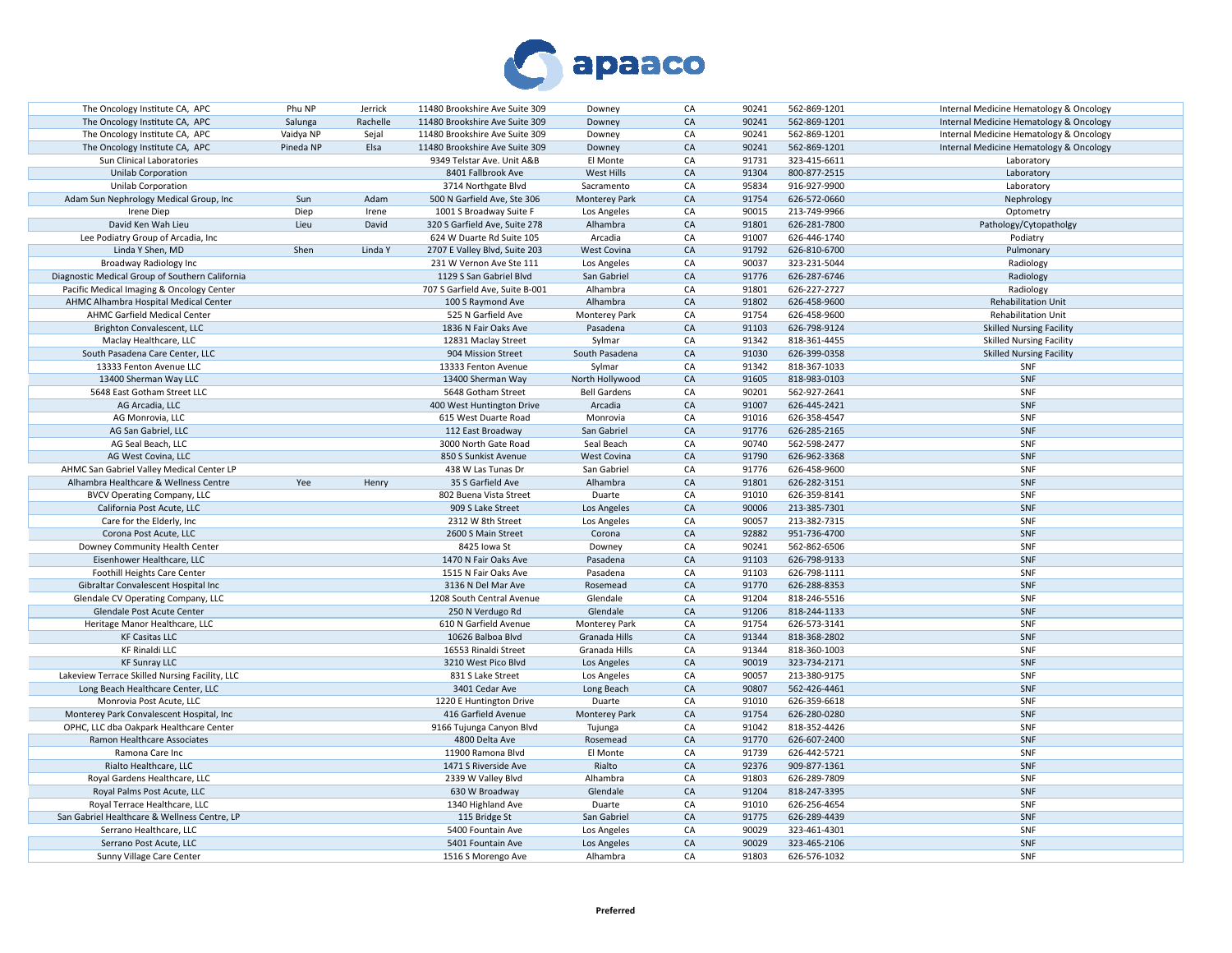

| The Oncology Institute CA, APC                  | Phu NP    | Jerrick  | 11480 Brookshire Ave Suite 309  | Downey               | CA         | 90241 | 562-869-1201 | Internal Medicine Hematology & Oncology |
|-------------------------------------------------|-----------|----------|---------------------------------|----------------------|------------|-------|--------------|-----------------------------------------|
| The Oncology Institute CA, APC                  | Salunga   | Rachelle | 11480 Brookshire Ave Suite 309  | Downey               | CA         | 90241 | 562-869-1201 | Internal Medicine Hematology & Oncology |
| The Oncology Institute CA, APC                  | Vaidya NP | Sejal    | 11480 Brookshire Ave Suite 309  | Downey               | CA         | 90241 | 562-869-1201 | Internal Medicine Hematology & Oncology |
| The Oncology Institute CA, APC                  | Pineda NP | Elsa     | 11480 Brookshire Ave Suite 309  | Downey               | CA         | 90241 | 562-869-1201 | Internal Medicine Hematology & Oncology |
| Sun Clinical Laboratories                       |           |          | 9349 Telstar Ave. Unit A&B      | El Monte             | CA         | 91731 | 323-415-6611 | Laboratory                              |
| <b>Unilab Corporation</b>                       |           |          | 8401 Fallbrook Ave              | West Hills           | CA         | 91304 | 800-877-2515 | Laboratory                              |
| Unilab Corporation                              |           |          | 3714 Northgate Blvd             | Sacramento           | CA         | 95834 | 916-927-9900 | Laboratory                              |
| Adam Sun Nephrology Medical Group, Inc          | Sun       | Adam     | 500 N Garfield Ave, Ste 306     | Monterey Park        | CA         | 91754 | 626-572-0660 | Nephrology                              |
| Irene Diep                                      | Diep      | Irene    | 1001 S Broadway Suite F         | Los Angeles          | CA         | 90015 | 213-749-9966 |                                         |
| David Ken Wah Lieu                              | Lieu      | David    | 320 S Garfield Ave, Suite 278   | Alhambra             | CA         | 91801 | 626-281-7800 | Optometry                               |
|                                                 |           |          |                                 |                      |            |       |              | Pathology/Cytopatholgy                  |
| Lee Podiatry Group of Arcadia, Inc              |           |          | 624 W Duarte Rd Suite 105       | Arcadia              | CA         | 91007 | 626-446-1740 | Podiatry                                |
| Linda Y Shen, MD                                | Shen      | Linda Y  | 2707 E Valley Blvd, Suite 203   | <b>West Covina</b>   | CA         | 91792 | 626-810-6700 | Pulmonary                               |
| Broadway Radiology Inc                          |           |          | 231 W Vernon Ave Ste 111        | Los Angeles          | CA         | 90037 | 323-231-5044 | Radiology                               |
| Diagnostic Medical Group of Southern California |           |          | 1129 S San Gabriel Blvd         | San Gabriel          | ${\sf CA}$ | 91776 | 626-287-6746 | Radiology                               |
| Pacific Medical Imaging & Oncology Center       |           |          | 707 S Garfield Ave, Suite B-001 | Alhambra             | CA         | 91801 | 626-227-2727 | Radiology                               |
| AHMC Alhambra Hospital Medical Center           |           |          | 100 S Raymond Ave               | Alhambra             | CA         | 91802 | 626-458-9600 | <b>Rehabilitation Unit</b>              |
| AHMC Garfield Medical Center                    |           |          | 525 N Garfield Ave              | <b>Monterey Park</b> | CA         | 91754 | 626-458-9600 | <b>Rehabilitation Unit</b>              |
| Brighton Convalescent, LLC                      |           |          | 1836 N Fair Oaks Ave            | Pasadena             | CA         | 91103 | 626-798-9124 | <b>Skilled Nursing Facility</b>         |
| Maclay Healthcare, LLC                          |           |          | 12831 Maclay Street             | Sylmar               | CA         | 91342 | 818-361-4455 | <b>Skilled Nursing Facility</b>         |
| South Pasadena Care Center, LLC                 |           |          | 904 Mission Street              | South Pasadena       | CA         | 91030 | 626-399-0358 | <b>Skilled Nursing Facility</b>         |
| 13333 Fenton Avenue LLC                         |           |          | 13333 Fenton Avenue             | Sylmar               | CA         | 91342 | 818-367-1033 | SNF                                     |
| 13400 Sherman Way LLC                           |           |          | 13400 Sherman Way               | North Hollywood      | CA         | 91605 | 818-983-0103 | SNF                                     |
| 5648 East Gotham Street LLC                     |           |          | 5648 Gotham Street              | <b>Bell Gardens</b>  | CA         | 90201 | 562-927-2641 | SNF                                     |
| AG Arcadia, LLC                                 |           |          | 400 West Huntington Drive       | Arcadia              | CA         | 91007 | 626-445-2421 | SNF                                     |
| AG Monrovia, LLC                                |           |          | 615 West Duarte Road            | Monrovia             | CA         | 91016 | 626-358-4547 | SNF                                     |
| AG San Gabriel, LLC                             |           |          |                                 | San Gabriel          | CA         | 91776 |              | SNF                                     |
|                                                 |           |          | 112 East Broadway               |                      |            |       | 626-285-2165 |                                         |
| AG Seal Beach, LLC                              |           |          | 3000 North Gate Road            | Seal Beach           | CA         | 90740 | 562-598-2477 | SNF                                     |
| AG West Covina, LLC                             |           |          | 850 S Sunkist Avenue            | West Covina          | CA         | 91790 | 626-962-3368 | SNF                                     |
| AHMC San Gabriel Valley Medical Center LP       |           |          | 438 W Las Tunas Dr              | San Gabriel          | CA         | 91776 | 626-458-9600 | SNF                                     |
| Alhambra Healthcare & Wellness Centre           | Yee       | Henry    | 35 S Garfield Ave               | Alhambra             | CA         | 91801 | 626-282-3151 | SNF                                     |
| <b>BVCV Operating Company, LLC</b>              |           |          | 802 Buena Vista Street          | Duarte               | CA         | 91010 | 626-359-8141 | SNF                                     |
| California Post Acute, LLC                      |           |          | 909 S Lake Street               | Los Angeles          | CA         | 90006 | 213-385-7301 | SNF                                     |
| Care for the Elderly, Inc.                      |           |          | 2312 W 8th Street               | Los Angeles          | CA         | 90057 | 213-382-7315 | SNF                                     |
| Corona Post Acute, LLC                          |           |          | 2600 S Main Street              | Corona               | CA         | 92882 | 951-736-4700 | SNF                                     |
| Downey Community Health Center                  |           |          | 8425 Iowa St                    | Downey               | CA         | 90241 | 562-862-6506 | SNF                                     |
| Eisenhower Healthcare, LLC                      |           |          | 1470 N Fair Oaks Ave            | Pasadena             | CA         | 91103 | 626-798-9133 | SNF                                     |
| Foothill Heights Care Center                    |           |          | 1515 N Fair Oaks Ave            | Pasadena             | CA         | 91103 | 626-798-1111 | SNF                                     |
| Gibraltar Convalescent Hospital Inc             |           |          | 3136 N Del Mar Ave              | Rosemead             | CA         | 91770 | 626-288-8353 | SNF                                     |
| Glendale CV Operating Company, LLC              |           |          | 1208 South Central Avenue       | Glendale             | CA         | 91204 | 818-246-5516 | SNF                                     |
| Glendale Post Acute Center                      |           |          | 250 N Verdugo Rd                | Glendale             | CA         | 91206 | 818-244-1133 | SNF                                     |
| Heritage Manor Healthcare, LLC                  |           |          | 610 N Garfield Avenue           | Monterey Park        | CA         | 91754 | 626-573-3141 | SNF                                     |
| <b>KF Casitas LLC</b>                           |           |          | 10626 Balboa Blvd               | Granada Hills        | CA         | 91344 | 818-368-2802 | SNF                                     |
| <b>KF Rinaldi LLC</b>                           |           |          | 16553 Rinaldi Street            | Granada Hills        | CA         | 91344 | 818-360-1003 | SNF                                     |
|                                                 |           |          |                                 |                      | CA         | 90019 |              | SNF                                     |
| <b>KF Sunray LLC</b>                            |           |          | 3210 West Pico Blvd             | Los Angeles          |            |       | 323-734-2171 |                                         |
| Lakeview Terrace Skilled Nursing Facility, LLC  |           |          | 831 S Lake Street               | Los Angeles          | CA         | 90057 | 213-380-9175 | SNF                                     |
| Long Beach Healthcare Center, LLC               |           |          | 3401 Cedar Ave                  | Long Beach           | CA         | 90807 | 562-426-4461 | SNF                                     |
| Monrovia Post Acute, LLC                        |           |          | 1220 E Huntington Drive         | Duarte               | CA         | 91010 | 626-359-6618 | SNF                                     |
| Monterey Park Convalescent Hospital, Inc.       |           |          | 416 Garfield Avenue             | Monterey Park        | CA         | 91754 | 626-280-0280 | SNF                                     |
| OPHC, LLC dba Oakpark Healthcare Center         |           |          | 9166 Tujunga Canyon Blvd        | Tujunga              | CA         | 91042 | 818-352-4426 | SNF                                     |
| Ramon Healthcare Associates                     |           |          | 4800 Delta Ave                  | Rosemead             | CA         | 91770 | 626-607-2400 | SNF                                     |
| Ramona Care Inc                                 |           |          | 11900 Ramona Blvd               | El Monte             | CA         | 91739 | 626-442-5721 | SNF                                     |
| Rialto Healthcare, LLC                          |           |          | 1471 S Riverside Ave            | Rialto               | CA         | 92376 | 909-877-1361 | SNF                                     |
| Royal Gardens Healthcare, LLC                   |           |          | 2339 W Valley Blvd              | Alhambra             | CA         | 91803 | 626-289-7809 | SNF                                     |
| Royal Palms Post Acute, LLC                     |           |          | 630 W Broadway                  | Glendale             | CA         | 91204 | 818-247-3395 | SNF                                     |
| Royal Terrace Healthcare, LLC                   |           |          | 1340 Highland Ave               | Duarte               | CA         | 91010 | 626-256-4654 | SNF                                     |
| San Gabriel Healthcare & Wellness Centre, LP    |           |          | 115 Bridge St                   | San Gabriel          | ${\sf CA}$ | 91775 | 626-289-4439 | SNF                                     |
| Serrano Healthcare, LLC                         |           |          | 5400 Fountain Ave               | Los Angeles          | CA         | 90029 | 323-461-4301 | SNF                                     |
| Serrano Post Acute, LLC                         |           |          | 5401 Fountain Ave               | Los Angeles          | CA         | 90029 | 323-465-2106 | SNF                                     |
| Sunny Village Care Center                       |           |          | 1516 S Morengo Ave              | Alhambra             | CA         | 91803 | 626-576-1032 | SNF                                     |
|                                                 |           |          |                                 |                      |            |       |              |                                         |